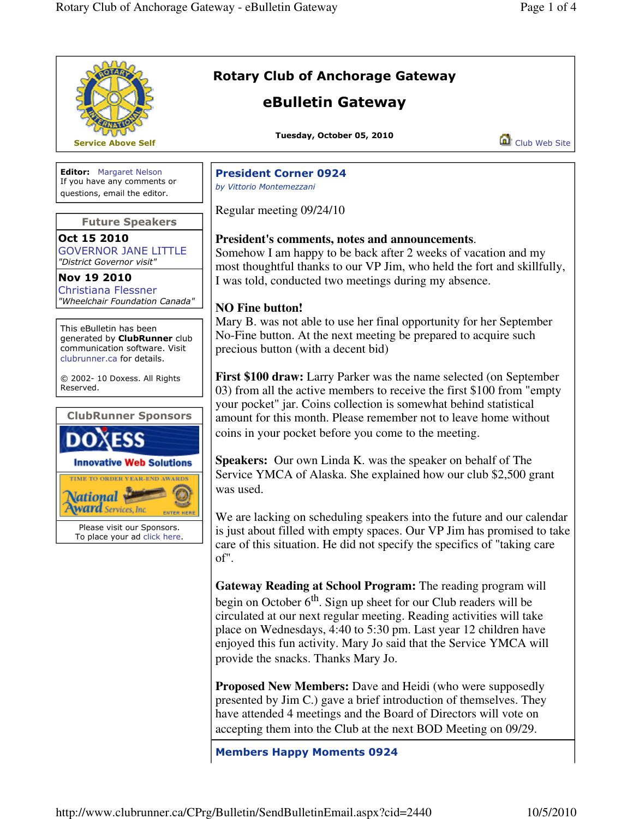|                                                                                                                                | <b>Rotary Club of Anchorage Gateway</b><br>eBulletin Gateway                                                                                                                                                                                                                                                                                                                                                                                                    |               |
|--------------------------------------------------------------------------------------------------------------------------------|-----------------------------------------------------------------------------------------------------------------------------------------------------------------------------------------------------------------------------------------------------------------------------------------------------------------------------------------------------------------------------------------------------------------------------------------------------------------|---------------|
| <b>Service Above Self</b>                                                                                                      | Tuesday, October 05, 2010                                                                                                                                                                                                                                                                                                                                                                                                                                       | Club Web Site |
| <b>Editor:</b> Margaret Nelson<br>If you have any comments or<br>questions, email the editor.                                  | <b>President Corner 0924</b><br>by Vittorio Montemezzani                                                                                                                                                                                                                                                                                                                                                                                                        |               |
| <b>Future Speakers</b>                                                                                                         | Regular meeting 09/24/10                                                                                                                                                                                                                                                                                                                                                                                                                                        |               |
| Oct 15 2010<br><b>GOVERNOR JANE LITTLE</b><br>"District Governor visit"                                                        | President's comments, notes and announcements.<br>Somehow I am happy to be back after 2 weeks of vacation and my<br>most thoughtful thanks to our VP Jim, who held the fort and skillfully,<br>I was told, conducted two meetings during my absence.<br><b>NO Fine button!</b><br>Mary B. was not able to use her final opportunity for her September<br>No-Fine button. At the next meeting be prepared to acquire such<br>precious button (with a decent bid) |               |
| Nov 19 2010<br><b>Christiana Flessner</b><br>"Wheelchair Foundation Canada"                                                    |                                                                                                                                                                                                                                                                                                                                                                                                                                                                 |               |
| This eBulletin has been<br>generated by <b>ClubRunner</b> club<br>communication software. Visit<br>clubrunner.ca for details.  |                                                                                                                                                                                                                                                                                                                                                                                                                                                                 |               |
| © 2002- 10 Doxess. All Rights<br>Reserved.                                                                                     | <b>First \$100 draw:</b> Larry Parker was the name selected (on September<br>03) from all the active members to receive the first \$100 from "empty"<br>your pocket" jar. Coins collection is somewhat behind statistical                                                                                                                                                                                                                                       |               |
| <b>ClubRunner Sponsors</b>                                                                                                     | amount for this month. Please remember not to leave home without<br>coins in your pocket before you come to the meeting.                                                                                                                                                                                                                                                                                                                                        |               |
| <b>Innovative Web Solutions</b><br>TIME TO ORDER YEAR-END AWARDS<br>Please visit our Sponsors.<br>To place your ad click here. | Speakers: Our own Linda K. was the speaker on behalf of The<br>Service YMCA of Alaska. She explained how our club \$2,500 grant<br>was used.                                                                                                                                                                                                                                                                                                                    |               |
|                                                                                                                                | We are lacking on scheduling speakers into the future and our calendar<br>is just about filled with empty spaces. Our VP Jim has promised to take<br>care of this situation. He did not specify the specifics of "taking care"<br>of".                                                                                                                                                                                                                          |               |
|                                                                                                                                | Gateway Reading at School Program: The reading program will<br>begin on October $6th$ . Sign up sheet for our Club readers will be<br>circulated at our next regular meeting. Reading activities will take<br>place on Wednesdays, 4:40 to 5:30 pm. Last year 12 children have<br>enjoyed this fun activity. Mary Jo said that the Service YMCA will<br>provide the snacks. Thanks Mary Jo.                                                                     |               |
|                                                                                                                                | <b>Proposed New Members:</b> Dave and Heidi (who were supposedly<br>presented by Jim C.) gave a brief introduction of themselves. They<br>have attended 4 meetings and the Board of Directors will vote on<br>accepting them into the Club at the next BOD Meeting on 09/29.                                                                                                                                                                                    |               |
|                                                                                                                                | <b>Members Happy Moments 0924</b>                                                                                                                                                                                                                                                                                                                                                                                                                               |               |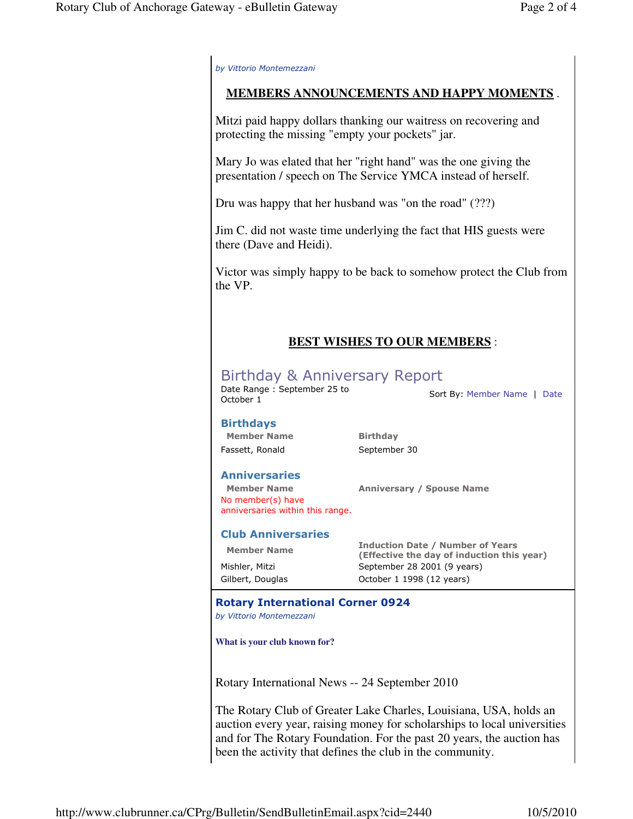by Vittorio Montemezzani

### **MEMBERS ANNOUNCEMENTS AND HAPPY MOMENTS** .

Mitzi paid happy dollars thanking our waitress on recovering and protecting the missing "empty your pockets" jar.

Mary Jo was elated that her "right hand" was the one giving the presentation / speech on The Service YMCA instead of herself.

Dru was happy that her husband was "on the road" (???)

Jim C. did not waste time underlying the fact that HIS guests were there (Dave and Heidi).

Victor was simply happy to be back to somehow protect the Club from the VP.

## **BEST WISHES TO OUR MEMBERS** :

# Birthday & Anniversary Report

Date Range: September 25 to<br>October 1

Sort By: Member Name | Date

#### Birthdays

Member Name Birthday Fassett, Ronald September 30

#### Anniversaries

 Member Name Anniversary / Spouse Name No member(s) have anniversaries within this range.

#### Club Anniversaries

Member Name **Induction Date / Number of Years**<br>(Effective the day of induction this (Effective the day of induction this year) Mishler, Mitzi September 28 2001 (9 years) Gilbert, Douglas Cotober 1 1998 (12 years)

#### Rotary International Corner 0924

by Vittorio Montemezzani

**What is your club known for?**

Rotary International News -- 24 September 2010

The Rotary Club of Greater Lake Charles, Louisiana, USA, holds an auction every year, raising money for scholarships to local universities and for The Rotary Foundation. For the past 20 years, the auction has been the activity that defines the club in the community.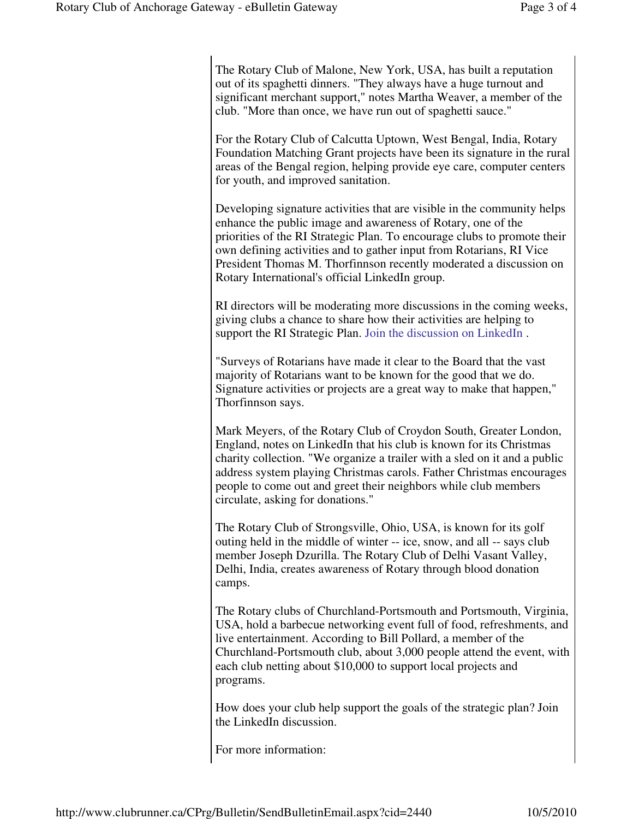The Rotary Club of Malone, New York, USA, has built a reputation out of its spaghetti dinners. "They always have a huge turnout and significant merchant support," notes Martha Weaver, a member of the club. "More than once, we have run out of spaghetti sauce."

For the Rotary Club of Calcutta Uptown, West Bengal, India, Rotary Foundation Matching Grant projects have been its signature in the rural areas of the Bengal region, helping provide eye care, computer centers for youth, and improved sanitation.

Developing signature activities that are visible in the community helps enhance the public image and awareness of Rotary, one of the priorities of the RI Strategic Plan. To encourage clubs to promote their own defining activities and to gather input from Rotarians, RI Vice President Thomas M. Thorfinnson recently moderated a discussion on Rotary International's official LinkedIn group.

RI directors will be moderating more discussions in the coming weeks, giving clubs a chance to share how their activities are helping to support the RI Strategic Plan. Join the discussion on LinkedIn .

"Surveys of Rotarians have made it clear to the Board that the vast majority of Rotarians want to be known for the good that we do. Signature activities or projects are a great way to make that happen," Thorfinnson says.

Mark Meyers, of the Rotary Club of Croydon South, Greater London, England, notes on LinkedIn that his club is known for its Christmas charity collection. "We organize a trailer with a sled on it and a public address system playing Christmas carols. Father Christmas encourages people to come out and greet their neighbors while club members circulate, asking for donations."

The Rotary Club of Strongsville, Ohio, USA, is known for its golf outing held in the middle of winter -- ice, snow, and all -- says club member Joseph Dzurilla. The Rotary Club of Delhi Vasant Valley, Delhi, India, creates awareness of Rotary through blood donation camps.

The Rotary clubs of Churchland-Portsmouth and Portsmouth, Virginia, USA, hold a barbecue networking event full of food, refreshments, and live entertainment. According to Bill Pollard, a member of the Churchland-Portsmouth club, about 3,000 people attend the event, with each club netting about \$10,000 to support local projects and programs.

How does your club help support the goals of the strategic plan? Join the LinkedIn discussion.

For more information: